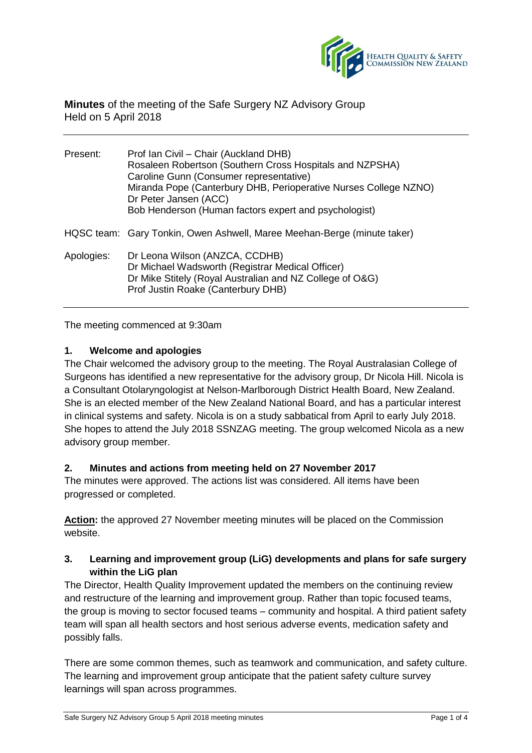

## **Minutes** of the meeting of the Safe Surgery NZ Advisory Group Held on 5 April 2018

| Present:   | Prof Ian Civil – Chair (Auckland DHB)<br>Rosaleen Robertson (Southern Cross Hospitals and NZPSHA)<br>Caroline Gunn (Consumer representative)<br>Miranda Pope (Canterbury DHB, Perioperative Nurses College NZNO)<br>Dr Peter Jansen (ACC)<br>Bob Henderson (Human factors expert and psychologist) |
|------------|----------------------------------------------------------------------------------------------------------------------------------------------------------------------------------------------------------------------------------------------------------------------------------------------------|
|            | HQSC team: Gary Tonkin, Owen Ashwell, Maree Meehan-Berge (minute taker)                                                                                                                                                                                                                            |
| Apologies: | Dr Leona Wilson (ANZCA, CCDHB)<br>Dr Michael Wadsworth (Registrar Medical Officer)<br>Dr Mike Stitely (Royal Australian and NZ College of O&G)<br>Prof Justin Roake (Canterbury DHB)                                                                                                               |

The meeting commenced at 9:30am

### **1. Welcome and apologies**

The Chair welcomed the advisory group to the meeting. The Royal Australasian College of Surgeons has identified a new representative for the advisory group, Dr Nicola Hill. Nicola is a Consultant Otolaryngologist at Nelson-Marlborough District Health Board, New Zealand. She is an elected member of the New Zealand National Board, and has a particular interest in clinical systems and safety. Nicola is on a study sabbatical from April to early July 2018. She hopes to attend the July 2018 SSNZAG meeting. The group welcomed Nicola as a new advisory group member.

### **2. Minutes and actions from meeting held on 27 November 2017**

The minutes were approved. The actions list was considered. All items have been progressed or completed.

**Action:** the approved 27 November meeting minutes will be placed on the Commission website.

## **3. Learning and improvement group (LiG) developments and plans for safe surgery within the LiG plan**

The Director, Health Quality Improvement updated the members on the continuing review and restructure of the learning and improvement group. Rather than topic focused teams, the group is moving to sector focused teams – community and hospital. A third patient safety team will span all health sectors and host serious adverse events, medication safety and possibly falls.

There are some common themes, such as teamwork and communication, and safety culture. The learning and improvement group anticipate that the patient safety culture survey learnings will span across programmes.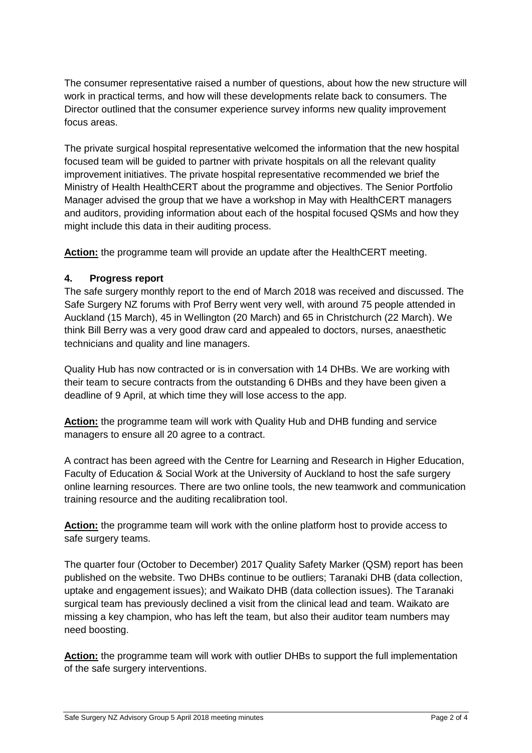The consumer representative raised a number of questions, about how the new structure will work in practical terms, and how will these developments relate back to consumers. The Director outlined that the consumer experience survey informs new quality improvement focus areas.

The private surgical hospital representative welcomed the information that the new hospital focused team will be guided to partner with private hospitals on all the relevant quality improvement initiatives. The private hospital representative recommended we brief the Ministry of Health HealthCERT about the programme and objectives. The Senior Portfolio Manager advised the group that we have a workshop in May with HealthCERT managers and auditors, providing information about each of the hospital focused QSMs and how they might include this data in their auditing process.

**Action:** the programme team will provide an update after the HealthCERT meeting.

### **4. Progress report**

The safe surgery monthly report to the end of March 2018 was received and discussed. The Safe Surgery NZ forums with Prof Berry went very well, with around 75 people attended in Auckland (15 March), 45 in Wellington (20 March) and 65 in Christchurch (22 March). We think Bill Berry was a very good draw card and appealed to doctors, nurses, anaesthetic technicians and quality and line managers.

Quality Hub has now contracted or is in conversation with 14 DHBs. We are working with their team to secure contracts from the outstanding 6 DHBs and they have been given a deadline of 9 April, at which time they will lose access to the app.

**Action:** the programme team will work with Quality Hub and DHB funding and service managers to ensure all 20 agree to a contract.

A contract has been agreed with the Centre for Learning and Research in Higher Education, Faculty of Education & Social Work at the University of Auckland to host the safe surgery online learning resources. There are two online tools, the new teamwork and communication training resource and the auditing recalibration tool.

**Action:** the programme team will work with the online platform host to provide access to safe surgery teams.

The quarter four (October to December) 2017 Quality Safety Marker (QSM) report has been published on the website. Two DHBs continue to be outliers; Taranaki DHB (data collection, uptake and engagement issues); and Waikato DHB (data collection issues). The Taranaki surgical team has previously declined a visit from the clinical lead and team. Waikato are missing a key champion, who has left the team, but also their auditor team numbers may need boosting.

**Action:** the programme team will work with outlier DHBs to support the full implementation of the safe surgery interventions.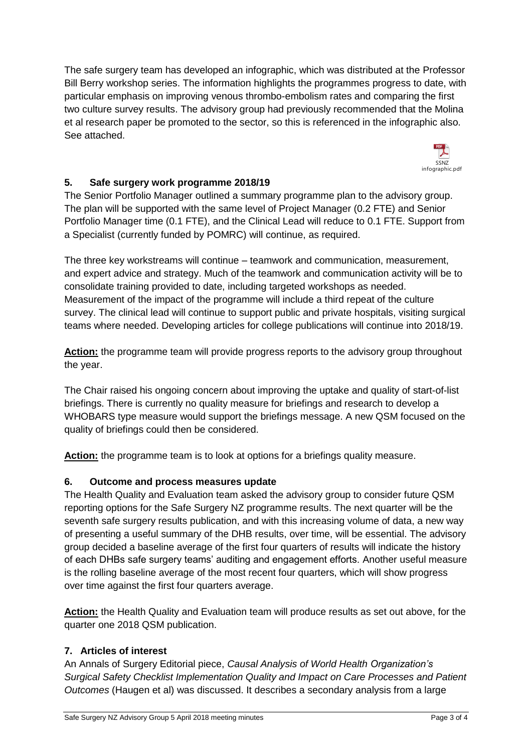The safe surgery team has developed an infographic, which was distributed at the Professor Bill Berry workshop series. The information highlights the programmes progress to date, with particular emphasis on improving venous thrombo-embolism rates and comparing the first two culture survey results. The advisory group had previously recommended that the Molina et al research paper be promoted to the sector, so this is referenced in the infographic also. See attached.



# **5. Safe surgery work programme 2018/19**

The Senior Portfolio Manager outlined a summary programme plan to the advisory group. The plan will be supported with the same level of Project Manager (0.2 FTE) and Senior Portfolio Manager time (0.1 FTE), and the Clinical Lead will reduce to 0.1 FTE. Support from a Specialist (currently funded by POMRC) will continue, as required.

The three key workstreams will continue – teamwork and communication, measurement, and expert advice and strategy. Much of the teamwork and communication activity will be to consolidate training provided to date, including targeted workshops as needed. Measurement of the impact of the programme will include a third repeat of the culture survey. The clinical lead will continue to support public and private hospitals, visiting surgical teams where needed. Developing articles for college publications will continue into 2018/19.

**Action:** the programme team will provide progress reports to the advisory group throughout the year.

The Chair raised his ongoing concern about improving the uptake and quality of start-of-list briefings. There is currently no quality measure for briefings and research to develop a WHOBARS type measure would support the briefings message. A new QSM focused on the quality of briefings could then be considered.

**Action:** the programme team is to look at options for a briefings quality measure.

## **6. Outcome and process measures update**

The Health Quality and Evaluation team asked the advisory group to consider future QSM reporting options for the Safe Surgery NZ programme results. The next quarter will be the seventh safe surgery results publication, and with this increasing volume of data, a new way of presenting a useful summary of the DHB results, over time, will be essential. The advisory group decided a baseline average of the first four quarters of results will indicate the history of each DHBs safe surgery teams' auditing and engagement efforts. Another useful measure is the rolling baseline average of the most recent four quarters, which will show progress over time against the first four quarters average.

**Action:** the Health Quality and Evaluation team will produce results as set out above, for the quarter one 2018 QSM publication.

## **7. Articles of interest**

An Annals of Surgery Editorial piece, *Causal Analysis of World Health Organization's Surgical Safety Checklist Implementation Quality and Impact on Care Processes and Patient Outcomes* (Haugen et al) was discussed. It describes a secondary analysis from a large